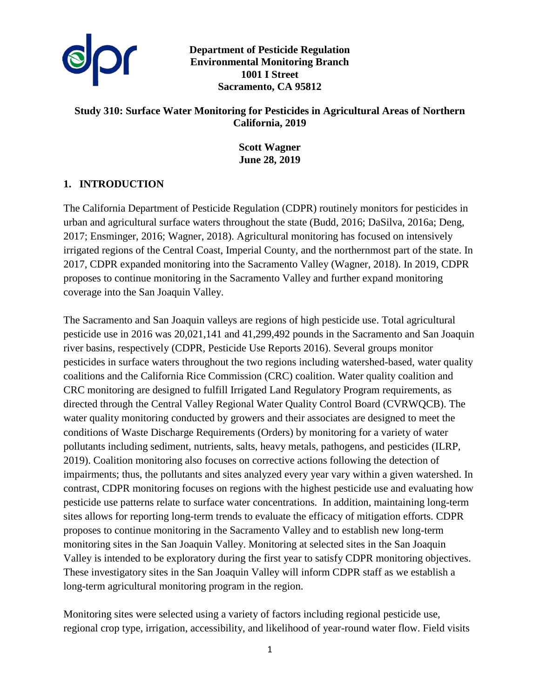

**Department of Pesticide Regulation Environmental Monitoring Branch 1001 I Street Sacramento, CA 95812** 

### **Study 310: Surface Water Monitoring for Pesticides in Agricultural Areas of Northern California, 2019**

**Scott Wagner June 28, 2019**

# **1. INTRODUCTION**

The California Department of Pesticide Regulation (CDPR) routinely monitors for pesticides in urban and agricultural surface waters throughout the state (Budd, 2016; DaSilva, 2016a; Deng, 2017; Ensminger, 2016; Wagner, 2018). Agricultural monitoring has focused on intensively irrigated regions of the Central Coast, Imperial County, and the northernmost part of the state. In 2017, CDPR expanded monitoring into the Sacramento Valley (Wagner, 2018). In 2019, CDPR proposes to continue monitoring in the Sacramento Valley and further expand monitoring coverage into the San Joaquin Valley.

The Sacramento and San Joaquin valleys are regions of high pesticide use. Total agricultural pesticide use in 2016 was 20,021,141 and 41,299,492 pounds in the Sacramento and San Joaquin river basins, respectively (CDPR, Pesticide Use Reports 2016). Several groups monitor pesticides in surface waters throughout the two regions including watershed-based, water quality coalitions and the California Rice Commission (CRC) coalition. Water quality coalition and CRC monitoring are designed to fulfill Irrigated Land Regulatory Program requirements, as directed through the Central Valley Regional Water Quality Control Board (CVRWQCB). The water quality monitoring conducted by growers and their associates are designed to meet the conditions of Waste Discharge Requirements (Orders) by monitoring for a variety of water pollutants including sediment, nutrients, salts, heavy metals, pathogens, and pesticides (ILRP, 2019). Coalition monitoring also focuses on corrective actions following the detection of impairments; thus, the pollutants and sites analyzed every year vary within a given watershed. In contrast, CDPR monitoring focuses on regions with the highest pesticide use and evaluating how pesticide use patterns relate to surface water concentrations. In addition, maintaining long-term sites allows for reporting long-term trends to evaluate the efficacy of mitigation efforts. CDPR proposes to continue monitoring in the Sacramento Valley and to establish new long-term monitoring sites in the San Joaquin Valley. Monitoring at selected sites in the San Joaquin Valley is intended to be exploratory during the first year to satisfy CDPR monitoring objectives. These investigatory sites in the San Joaquin Valley will inform CDPR staff as we establish a long-term agricultural monitoring program in the region.

Monitoring sites were selected using a variety of factors including regional pesticide use, regional crop type, irrigation, accessibility, and likelihood of year-round water flow. Field visits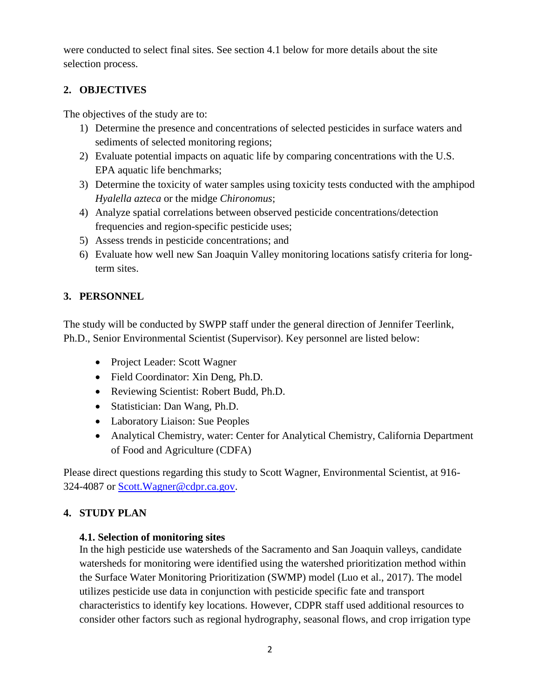were conducted to select final sites. See section 4.1 below for more details about the site selection process.

# **2. OBJECTIVES**

The objectives of the study are to:

- 1) Determine the presence and concentrations of selected pesticides in surface waters and sediments of selected monitoring regions;
- 2) Evaluate potential impacts on aquatic life by comparing concentrations with the U.S. EPA aquatic life benchmarks;
- 3) Determine the toxicity of water samples using toxicity tests conducted with the amphipod *Hyalella azteca* or the midge *Chironomus*;
- 4) Analyze spatial correlations between observed pesticide concentrations/detection frequencies and region-specific pesticide uses;
- 5) Assess trends in pesticide concentrations; and
- 6) Evaluate how well new San Joaquin Valley monitoring locations satisfy criteria for longterm sites.

# **3. PERSONNEL**

The study will be conducted by SWPP staff under the general direction of Jennifer Teerlink, Ph.D., Senior Environmental Scientist (Supervisor). Key personnel are listed below:

- Project Leader: Scott Wagner
- Field Coordinator: Xin Deng, Ph.D.
- Reviewing Scientist: Robert Budd, Ph.D.
- Statistician: Dan Wang, Ph.D.
- Laboratory Liaison: Sue Peoples
- Analytical Chemistry, water: Center for Analytical Chemistry, California Department of Food and Agriculture (CDFA)

Please direct questions regarding this study to Scott Wagner, Environmental Scientist, at 916- 324-4087 or [Scott.Wagner@cdpr.ca.gov.](mailto:Scott.Wagner@cdpr.ca.gov)

# **4. STUDY PLAN**

# **4.1. Selection of monitoring sites**

In the high pesticide use watersheds of the Sacramento and San Joaquin valleys, candidate watersheds for monitoring were identified using the watershed prioritization method within the Surface Water Monitoring Prioritization (SWMP) model (Luo et al., 2017). The model utilizes pesticide use data in conjunction with pesticide specific fate and transport characteristics to identify key locations. However, CDPR staff used additional resources to consider other factors such as regional hydrography, seasonal flows, and crop irrigation type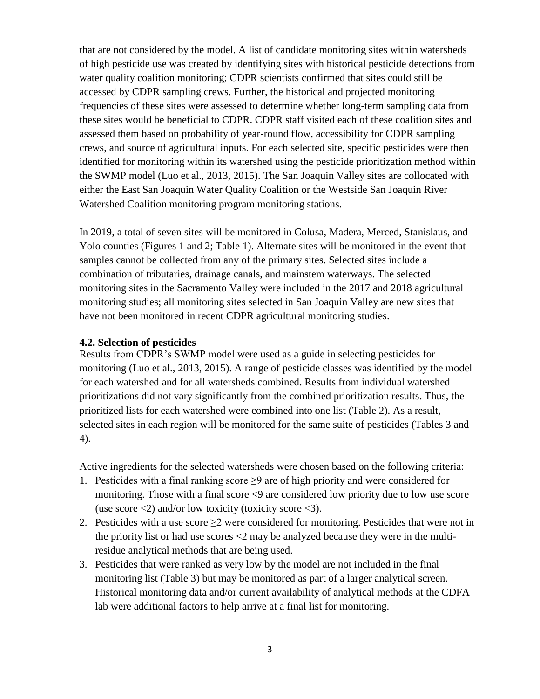that are not considered by the model. A list of candidate monitoring sites within watersheds of high pesticide use was created by identifying sites with historical pesticide detections from water quality coalition monitoring; CDPR scientists confirmed that sites could still be accessed by CDPR sampling crews. Further, the historical and projected monitoring frequencies of these sites were assessed to determine whether long-term sampling data from these sites would be beneficial to CDPR. CDPR staff visited each of these coalition sites and assessed them based on probability of year-round flow, accessibility for CDPR sampling crews, and source of agricultural inputs. For each selected site, specific pesticides were then identified for monitoring within its watershed using the pesticide prioritization method within the SWMP model (Luo et al., 2013, 2015). The San Joaquin Valley sites are collocated with either the East San Joaquin Water Quality Coalition or the Westside San Joaquin River Watershed Coalition monitoring program monitoring stations.

In 2019, a total of seven sites will be monitored in Colusa, Madera, Merced, Stanislaus, and Yolo counties (Figures 1 and 2; Table 1). Alternate sites will be monitored in the event that samples cannot be collected from any of the primary sites. Selected sites include a combination of tributaries, drainage canals, and mainstem waterways. The selected monitoring sites in the Sacramento Valley were included in the 2017 and 2018 agricultural monitoring studies; all monitoring sites selected in San Joaquin Valley are new sites that have not been monitored in recent CDPR agricultural monitoring studies.

### **4.2. Selection of pesticides**

Results from CDPR's SWMP model were used as a guide in selecting pesticides for monitoring (Luo et al., 2013, 2015). A range of pesticide classes was identified by the model for each watershed and for all watersheds combined. Results from individual watershed prioritizations did not vary significantly from the combined prioritization results. Thus, the prioritized lists for each watershed were combined into one list (Table 2). As a result, selected sites in each region will be monitored for the same suite of pesticides (Tables 3 and 4).

Active ingredients for the selected watersheds were chosen based on the following criteria:

- 1. Pesticides with a final ranking score  $\geq$ 9 are of high priority and were considered for monitoring. Those with a final score <9 are considered low priority due to low use score (use score  $\langle 2 \rangle$  and/or low toxicity (toxicity score  $\langle 3 \rangle$ ).
- 2. Pesticides with a use score  $\geq$  were considered for monitoring. Pesticides that were not in the priority list or had use scores <2 may be analyzed because they were in the multiresidue analytical methods that are being used.
- 3. Pesticides that were ranked as very low by the model are not included in the final monitoring list (Table 3) but may be monitored as part of a larger analytical screen. Historical monitoring data and/or current availability of analytical methods at the CDFA lab were additional factors to help arrive at a final list for monitoring.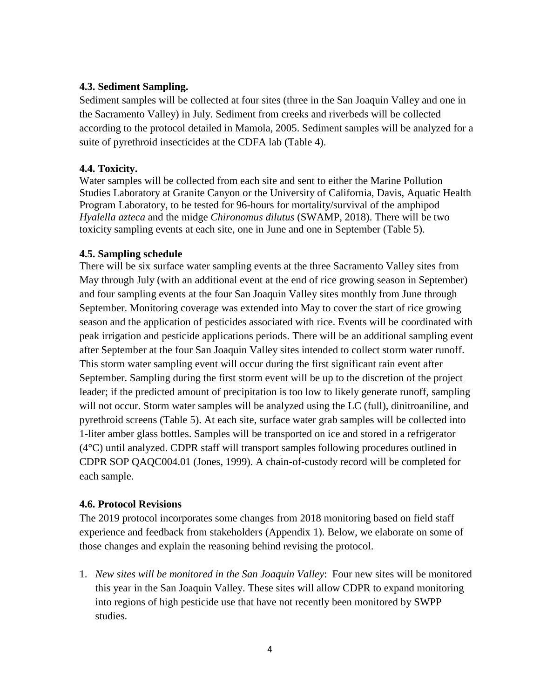### **4.3. Sediment Sampling.**

Sediment samples will be collected at four sites (three in the San Joaquin Valley and one in the Sacramento Valley) in July. Sediment from creeks and riverbeds will be collected according to the protocol detailed in Mamola, 2005. Sediment samples will be analyzed for a suite of pyrethroid insecticides at the CDFA lab (Table 4).

### **4.4. Toxicity.**

Water samples will be collected from each site and sent to either the Marine Pollution Studies Laboratory at Granite Canyon or the University of California, Davis, Aquatic Health Program Laboratory, to be tested for 96-hours for mortality/survival of the amphipod *Hyalella azteca* and the midge *Chironomus dilutus* (SWAMP, 2018). There will be two toxicity sampling events at each site, one in June and one in September (Table 5).

#### **4.5. Sampling schedule**

There will be six surface water sampling events at the three Sacramento Valley sites from May through July (with an additional event at the end of rice growing season in September) and four sampling events at the four San Joaquin Valley sites monthly from June through September. Monitoring coverage was extended into May to cover the start of rice growing season and the application of pesticides associated with rice. Events will be coordinated with peak irrigation and pesticide applications periods. There will be an additional sampling event after September at the four San Joaquin Valley sites intended to collect storm water runoff. This storm water sampling event will occur during the first significant rain event after September. Sampling during the first storm event will be up to the discretion of the project leader; if the predicted amount of precipitation is too low to likely generate runoff, sampling will not occur. Storm water samples will be analyzed using the LC (full), dinitroaniline, and pyrethroid screens (Table 5). At each site, surface water grab samples will be collected into 1-liter amber glass bottles. Samples will be transported on ice and stored in a refrigerator (4°C) until analyzed. CDPR staff will transport samples following procedures outlined in CDPR SOP QAQC004.01 (Jones, 1999). A chain-of-custody record will be completed for each sample.

#### **4.6. Protocol Revisions**

The 2019 protocol incorporates some changes from 2018 monitoring based on field staff experience and feedback from stakeholders (Appendix 1). Below, we elaborate on some of those changes and explain the reasoning behind revising the protocol.

1. *New sites will be monitored in the San Joaquin Valley*: Four new sites will be monitored this year in the San Joaquin Valley. These sites will allow CDPR to expand monitoring into regions of high pesticide use that have not recently been monitored by SWPP studies.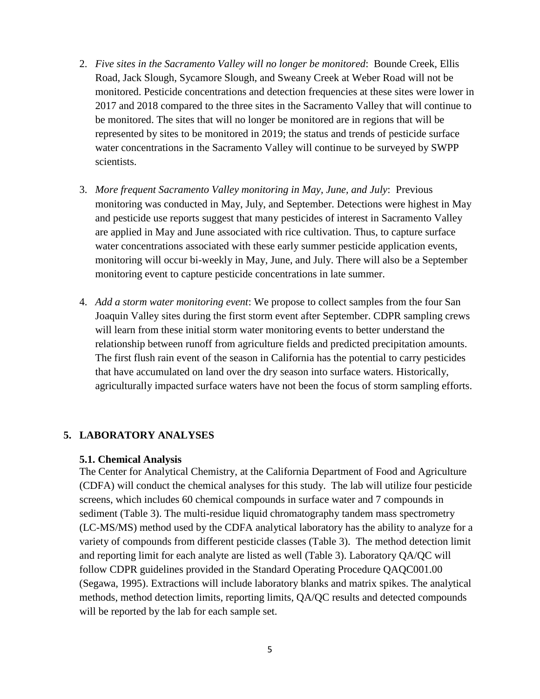- 2. *Five sites in the Sacramento Valley will no longer be monitored*: Bounde Creek, Ellis Road, Jack Slough, Sycamore Slough, and Sweany Creek at Weber Road will not be monitored. Pesticide concentrations and detection frequencies at these sites were lower in 2017 and 2018 compared to the three sites in the Sacramento Valley that will continue to be monitored. The sites that will no longer be monitored are in regions that will be represented by sites to be monitored in 2019; the status and trends of pesticide surface water concentrations in the Sacramento Valley will continue to be surveyed by SWPP scientists.
- 3. *More frequent Sacramento Valley monitoring in May, June, and July*: Previous monitoring was conducted in May, July, and September. Detections were highest in May and pesticide use reports suggest that many pesticides of interest in Sacramento Valley are applied in May and June associated with rice cultivation. Thus, to capture surface water concentrations associated with these early summer pesticide application events, monitoring will occur bi-weekly in May, June, and July. There will also be a September monitoring event to capture pesticide concentrations in late summer.
- 4. *Add a storm water monitoring event*: We propose to collect samples from the four San Joaquin Valley sites during the first storm event after September. CDPR sampling crews will learn from these initial storm water monitoring events to better understand the relationship between runoff from agriculture fields and predicted precipitation amounts. The first flush rain event of the season in California has the potential to carry pesticides that have accumulated on land over the dry season into surface waters. Historically, agriculturally impacted surface waters have not been the focus of storm sampling efforts.

#### **5. LABORATORY ANALYSES**

#### **5.1. Chemical Analysis**

The Center for Analytical Chemistry, at the California Department of Food and Agriculture (CDFA) will conduct the chemical analyses for this study. The lab will utilize four pesticide screens, which includes 60 chemical compounds in surface water and 7 compounds in sediment (Table 3). The multi-residue liquid chromatography tandem mass spectrometry (LC-MS/MS) method used by the CDFA analytical laboratory has the ability to analyze for a variety of compounds from different pesticide classes (Table 3). The method detection limit and reporting limit for each analyte are listed as well (Table 3). Laboratory QA/QC will follow CDPR guidelines provided in the Standard Operating Procedure QAQC001.00 (Segawa, 1995). Extractions will include laboratory blanks and matrix spikes. The analytical methods, method detection limits, reporting limits, QA/QC results and detected compounds will be reported by the lab for each sample set.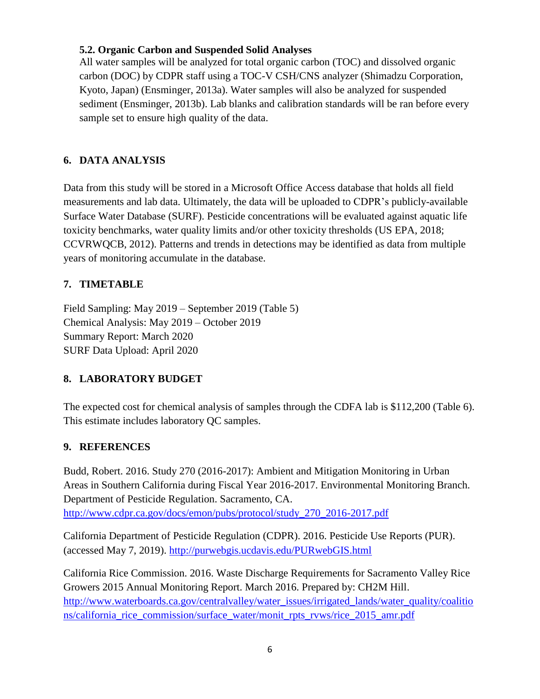## **5.2. Organic Carbon and Suspended Solid Analyses**

All water samples will be analyzed for total organic carbon (TOC) and dissolved organic carbon (DOC) by CDPR staff using a TOC-V CSH/CNS analyzer (Shimadzu Corporation, Kyoto, Japan) (Ensminger, 2013a). Water samples will also be analyzed for suspended sediment (Ensminger, 2013b). Lab blanks and calibration standards will be ran before every sample set to ensure high quality of the data.

# **6. DATA ANALYSIS**

Data from this study will be stored in a Microsoft Office Access database that holds all field measurements and lab data. Ultimately, the data will be uploaded to CDPR's publicly-available Surface Water Database (SURF). Pesticide concentrations will be evaluated against aquatic life toxicity benchmarks, water quality limits and/or other toxicity thresholds (US EPA, 2018; CCVRWQCB, 2012). Patterns and trends in detections may be identified as data from multiple years of monitoring accumulate in the database.

# **7. TIMETABLE**

Field Sampling: May 2019 – September 2019 (Table 5) Chemical Analysis: May 2019 – October 2019 Summary Report: March 2020 SURF Data Upload: April 2020

# **8. LABORATORY BUDGET**

The expected cost for chemical analysis of samples through the CDFA lab is \$112,200 (Table 6). This estimate includes laboratory QC samples.

# **9. REFERENCES**

Budd, Robert. 2016. Study 270 (2016-2017): Ambient and Mitigation Monitoring in Urban Areas in Southern California during Fiscal Year 2016-2017. Environmental Monitoring Branch. Department of Pesticide Regulation. Sacramento, CA. [http://www.cdpr.ca.gov/docs/emon/pubs/protocol/study\\_270\\_2016-2017.pdf](http://www.cdpr.ca.gov/docs/emon/pubs/protocol/study_270_2016-2017.pdf)

California Department of Pesticide Regulation (CDPR). 2016. Pesticide Use Reports (PUR). (accessed May 7, 2019). <http://purwebgis.ucdavis.edu/PURwebGIS.html>

California Rice Commission. 2016. Waste Discharge Requirements for Sacramento Valley Rice Growers 2015 Annual Monitoring Report. March 2016. Prepared by: CH2M Hill. [http://www.waterboards.ca.gov/centralvalley/water\\_issues/irrigated\\_lands/water\\_quality/coalitio](http://www.waterboards.ca.gov/centralvalley/water_issues/irrigated_lands/water_quality/coalitions/california_rice_commission/surface_water/monit_rpts_rvws/rice_2015_amr.pdf) [ns/california\\_rice\\_commission/surface\\_water/monit\\_rpts\\_rvws/rice\\_2015\\_amr.pdf](http://www.waterboards.ca.gov/centralvalley/water_issues/irrigated_lands/water_quality/coalitions/california_rice_commission/surface_water/monit_rpts_rvws/rice_2015_amr.pdf)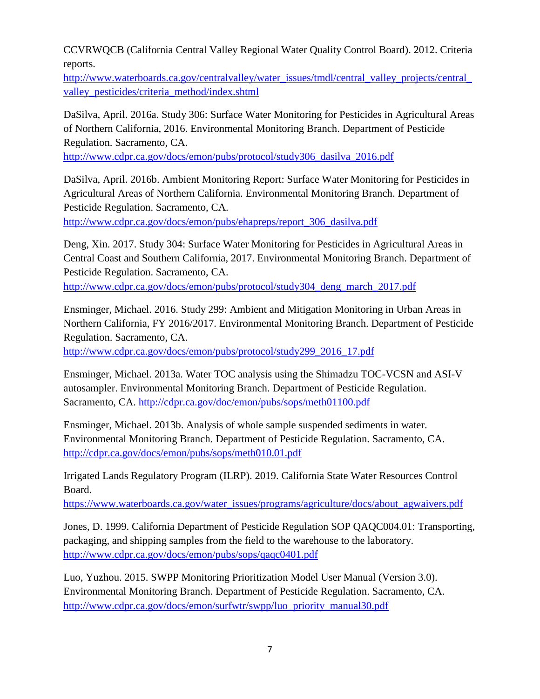CCVRWQCB (California Central Valley Regional Water Quality Control Board). 2012. Criteria reports.

[http://www.waterboards.ca.gov/centralvalley/water\\_issues/tmdl/central\\_valley\\_projects/central\\_](http://www.waterboards.ca.gov/centralvalley/water_issues/tmdl/central_valley_projects/central_valley_pesticides/criteria_method/index.shtml) [valley\\_pesticides/criteria\\_method/index.shtml](http://www.waterboards.ca.gov/centralvalley/water_issues/tmdl/central_valley_projects/central_valley_pesticides/criteria_method/index.shtml)

DaSilva, April. 2016a. Study 306: Surface Water Monitoring for Pesticides in Agricultural Areas of Northern California, 2016. Environmental Monitoring Branch. Department of Pesticide Regulation. Sacramento, CA.

[http://www.cdpr.ca.gov/docs/emon/pubs/protocol/study306\\_dasilva\\_2016.pdf](http://www.cdpr.ca.gov/docs/emon/pubs/protocol/study306_dasilva_2016.pdf)

DaSilva, April. 2016b. Ambient Monitoring Report: Surface Water Monitoring for Pesticides in Agricultural Areas of Northern California. Environmental Monitoring Branch. Department of Pesticide Regulation. Sacramento, CA.

[http://www.cdpr.ca.gov/docs/emon/pubs/ehapreps/report\\_306\\_dasilva.pdf](http://www.cdpr.ca.gov/docs/emon/pubs/ehapreps/report_306_dasilva.pdf)

Deng, Xin. 2017. Study 304: Surface Water Monitoring for Pesticides in Agricultural Areas in Central Coast and Southern California, 2017. Environmental Monitoring Branch. Department of Pesticide Regulation. Sacramento, CA.

[http://www.cdpr.ca.gov/docs/emon/pubs/protocol/study304\\_deng\\_march\\_2017.pdf](http://www.cdpr.ca.gov/docs/emon/pubs/protocol/study304_deng_march_2017.pdf)

Ensminger, Michael. 2016. Study 299: Ambient and Mitigation Monitoring in Urban Areas in Northern California, FY 2016/2017. Environmental Monitoring Branch. Department of Pesticide Regulation. Sacramento, CA.

[http://www.cdpr.ca.gov/docs/emon/pubs/protocol/study299\\_2016\\_17.pdf](http://www.cdpr.ca.gov/docs/emon/pubs/protocol/study299_2016_17.pdf)

Ensminger, Michael. 2013a. Water TOC analysis using the Shimadzu TOC-VCSN and ASI-V autosampler. Environmental Monitoring Branch. Department of Pesticide Regulation. Sacramento, CA. <http://cdpr.ca.gov/doc/emon/pubs/sops/meth01100.pdf>

Ensminger, Michael. 2013b. Analysis of whole sample suspended sediments in water. Environmental Monitoring Branch. Department of Pesticide Regulation. Sacramento, CA. <http://cdpr.ca.gov/docs/emon/pubs/sops/meth010.01.pdf>

Irrigated Lands Regulatory Program (ILRP). 2019. California State Water Resources Control Board.

[https://www.waterboards.ca.gov/water\\_issues/programs/agriculture/docs/about\\_agwaivers.pdf](https://www.waterboards.ca.gov/water_issues/programs/agriculture/docs/about_agwaivers.pdf)

Jones, D. 1999. California Department of Pesticide Regulation SOP QAQC004.01: Transporting, packaging, and shipping samples from the field to the warehouse to the laboratory. <http://www.cdpr.ca.gov/docs/emon/pubs/sops/qaqc0401.pdf>

Luo, Yuzhou. 2015. SWPP Monitoring Prioritization Model User Manual (Version 3.0). Environmental Monitoring Branch. Department of Pesticide Regulation. Sacramento, CA. [http://www.cdpr.ca.gov/docs/emon/surfwtr/swpp/luo\\_priority\\_manual30.pdf](http://www.cdpr.ca.gov/docs/emon/surfwtr/swpp/luo_priority_manual30.pdf)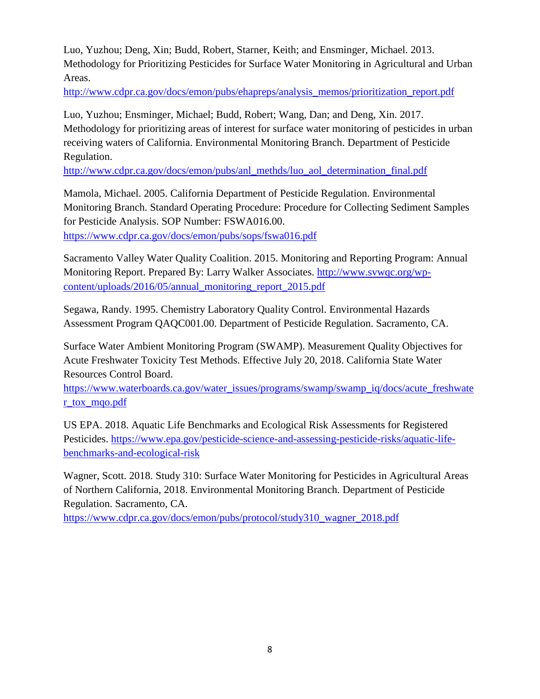Luo, Yuzhou; Deng, Xin; Budd, Robert, Starner, Keith; and Ensminger, Michael. 2013. Methodology for Prioritizing Pesticides for Surface Water Monitoring in Agricultural and Urban Areas.

[http://www.cdpr.ca.gov/docs/emon/pubs/ehapreps/analysis\\_memos/prioritization\\_report.pdf](http://www.cdpr.ca.gov/docs/emon/pubs/ehapreps/analysis_memos/prioritization_report.pdf)

Luo, Yuzhou; Ensminger, Michael; Budd, Robert; Wang, Dan; and Deng, Xin. 2017. Methodology for prioritizing areas of interest for surface water monitoring of pesticides in urban receiving waters of California. Environmental Monitoring Branch. Department of Pesticide Regulation.

[http://www.cdpr.ca.gov/docs/emon/pubs/anl\\_methds/luo\\_aol\\_determination\\_final.pdf](http://www.cdpr.ca.gov/docs/emon/pubs/anl_methds/luo_aol_determination_final.pdf)

Mamola, Michael. 2005. California Department of Pesticide Regulation. Environmental Monitoring Branch. Standard Operating Procedure: Procedure for Collecting Sediment Samples for Pesticide Analysis. SOP Number: FSWA016.00.

<https://www.cdpr.ca.gov/docs/emon/pubs/sops/fswa016.pdf>

Sacramento Valley Water Quality Coalition. 2015. Monitoring and Reporting Program: Annual Monitoring Report. Prepared By: Larry Walker Associates. [http://www.svwqc.org/wp](http://www.svwqc.org/wp-content/uploads/2016/05/annual_monitoring_report_2015.pdf)[content/uploads/2016/05/annual\\_monitoring\\_report\\_2015.pdf](http://www.svwqc.org/wp-content/uploads/2016/05/annual_monitoring_report_2015.pdf)

Segawa, Randy. 1995. Chemistry Laboratory Quality Control. Environmental Hazards Assessment Program QAQC001.00. Department of Pesticide Regulation. Sacramento, CA.

Surface Water Ambient Monitoring Program (SWAMP). Measurement Quality Objectives for Acute Freshwater Toxicity Test Methods. Effective July 20, 2018. California State Water Resources Control Board.

[https://www.waterboards.ca.gov/water\\_issues/programs/swamp/swamp\\_iq/docs/acute\\_freshwate](https://www.waterboards.ca.gov/water_issues/programs/swamp/swamp_iq/docs/acute_freshwater_tox_mqo.pdf) [r\\_tox\\_mqo.pdf](https://www.waterboards.ca.gov/water_issues/programs/swamp/swamp_iq/docs/acute_freshwater_tox_mqo.pdf)

US EPA. 2018. Aquatic Life Benchmarks and Ecological Risk Assessments for Registered Pesticides. [https://www.epa.gov/pesticide-science-and-assessing-pesticide-risks/aquatic-life](https://www.epa.gov/pesticide-science-and-assessing-pesticide-risks/aquatic-life-benchmarks-and-ecological-risk)[benchmarks-and-ecological-risk](https://www.epa.gov/pesticide-science-and-assessing-pesticide-risks/aquatic-life-benchmarks-and-ecological-risk)

Wagner, Scott. 2018. Study 310: Surface Water Monitoring for Pesticides in Agricultural Areas of Northern California, 2018. Environmental Monitoring Branch. Department of Pesticide Regulation. Sacramento, CA.

[https://www.cdpr.ca.gov/docs/emon/pubs/protocol/study310\\_wagner\\_2018.pdf](https://www.cdpr.ca.gov/docs/emon/pubs/protocol/study310_wagner_2018.pdf)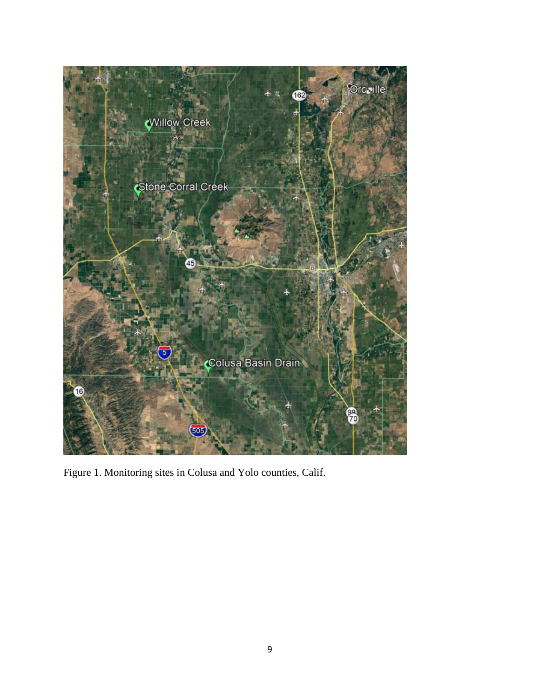

Figure 1. Monitoring sites in Colusa and Yolo counties, Calif.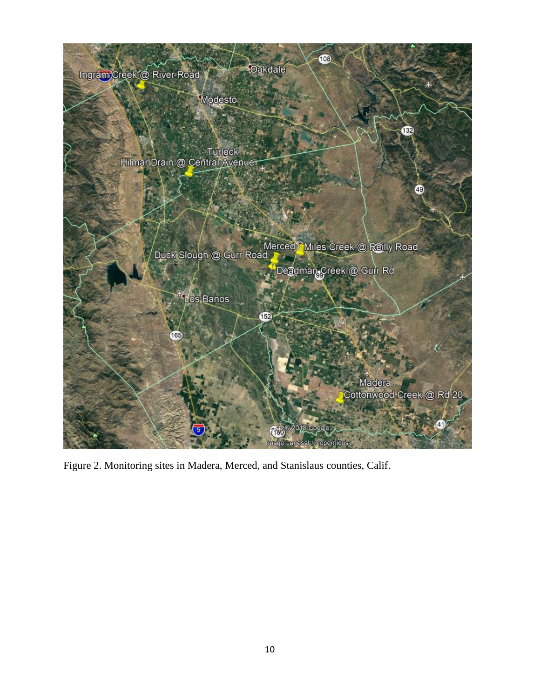

Figure 2. Monitoring sites in Madera, Merced, and Stanislaus counties, Calif.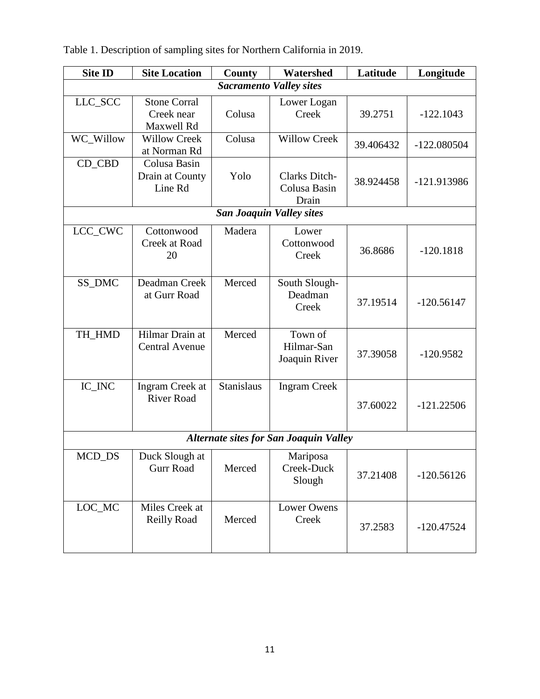| <b>Site ID</b> | <b>Site Location</b>                            | Latitude<br>Watershed<br>County |                                               |           | Longitude     |
|----------------|-------------------------------------------------|---------------------------------|-----------------------------------------------|-----------|---------------|
|                |                                                 |                                 | <b>Sacramento Valley sites</b>                |           |               |
| LLC_SCC        | <b>Stone Corral</b><br>Creek near<br>Maxwell Rd | Colusa                          | Lower Logan<br>Creek                          | 39.2751   | $-122.1043$   |
| WC_Willow      | <b>Willow Creek</b><br>at Norman Rd             | Colusa                          | <b>Willow Creek</b>                           | 39.406432 | $-122.080504$ |
| CD_CBD         | Colusa Basin<br>Drain at County<br>Line Rd      | Yolo                            | Clarks Ditch-<br>Colusa Basin<br>Drain        | 38.924458 | -121.913986   |
|                |                                                 |                                 | <b>San Joaquin Valley sites</b>               |           |               |
| LCC_CWC        | Cottonwood<br>Creek at Road<br>20               | Madera                          | Lower<br>Cottonwood<br>Creek                  | 36.8686   | $-120.1818$   |
| SS_DMC         | Deadman Creek<br>at Gurr Road                   | Merced                          | South Slough-<br>Deadman<br>Creek             | 37.19514  | $-120.56147$  |
| TH_HMD         | Hilmar Drain at<br><b>Central Avenue</b>        | Merced                          | Town of<br>Hilmar-San<br>Joaquin River        | 37.39058  | $-120.9582$   |
| IC_INC         | Ingram Creek at<br><b>River Road</b>            | <b>Stanislaus</b>               | <b>Ingram Creek</b>                           | 37.60022  | $-121.22506$  |
|                |                                                 |                                 | <b>Alternate sites for San Joaquin Valley</b> |           |               |
| MCD_DS         | Duck Slough at<br><b>Gurr Road</b>              | Merced                          | Mariposa<br>Creek-Duck<br>Slough              | 37.21408  | $-120.56126$  |
| $LOC_MC$       | Miles Creek at<br><b>Reilly Road</b>            | Merced                          | <b>Lower Owens</b><br>Creek                   | 37.2583   | $-120.47524$  |

Table 1. Description of sampling sites for Northern California in 2019.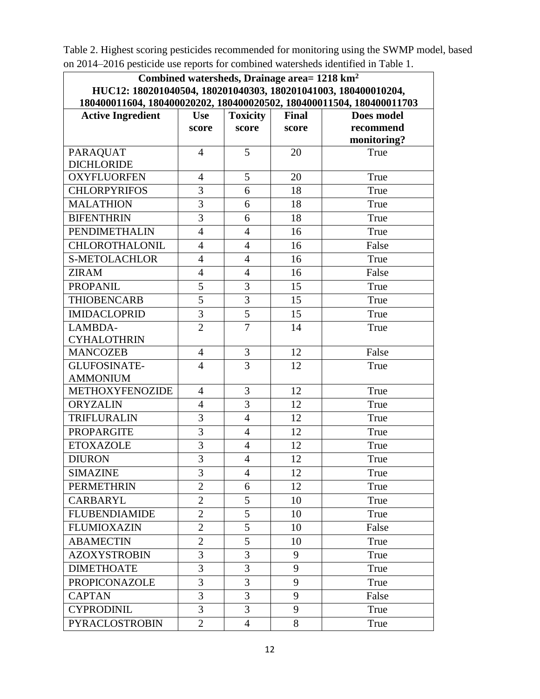Table 2. Highest scoring pesticides recommended for monitoring using the SWMP model, based on 2014–2016 pesticide use reports for combined watersheds identified in Table 1.

| Combined watersheds, Drainage area= 1218 km <sup>2</sup>                                                                               |                |                 |              |             |  |  |
|----------------------------------------------------------------------------------------------------------------------------------------|----------------|-----------------|--------------|-------------|--|--|
| HUC12: 180201040504, 180201040303, 180201041003, 180400010204,<br>180400011604, 180400020202, 180400020502, 180400011504, 180400011703 |                |                 |              |             |  |  |
| <b>Active Ingredient</b>                                                                                                               | <b>Use</b>     | <b>Toxicity</b> | <b>Final</b> | Does model  |  |  |
|                                                                                                                                        | score          | score           | score        | recommend   |  |  |
|                                                                                                                                        |                |                 |              | monitoring? |  |  |
| <b>PARAQUAT</b>                                                                                                                        | $\overline{4}$ | 5               | 20           | True        |  |  |
| <b>DICHLORIDE</b>                                                                                                                      |                |                 |              |             |  |  |
| <b>OXYFLUORFEN</b>                                                                                                                     | $\overline{4}$ | 5               | 20           | True        |  |  |
| <b>CHLORPYRIFOS</b>                                                                                                                    | 3              | 6               | 18           | True        |  |  |
| <b>MALATHION</b>                                                                                                                       | $\overline{3}$ | 6               | 18           | True        |  |  |
| <b>BIFENTHRIN</b>                                                                                                                      | 3              | 6               | 18           | True        |  |  |
| <b>PENDIMETHALIN</b>                                                                                                                   | $\overline{4}$ | $\overline{4}$  | 16           | True        |  |  |
| <b>CHLOROTHALONIL</b>                                                                                                                  | $\overline{4}$ | $\overline{4}$  | 16           | False       |  |  |
| <b>S-METOLACHLOR</b>                                                                                                                   | $\overline{4}$ | $\overline{4}$  | 16           | True        |  |  |
| <b>ZIRAM</b>                                                                                                                           | $\overline{4}$ | $\overline{4}$  | 16           | False       |  |  |
| <b>PROPANIL</b>                                                                                                                        | 5              | 3               | 15           | True        |  |  |
| <b>THIOBENCARB</b>                                                                                                                     | 5              | 3               | 15           | True        |  |  |
| <b>IMIDACLOPRID</b>                                                                                                                    | 3              | 5               | 15           | True        |  |  |
| LAMBDA-                                                                                                                                | $\overline{2}$ | $\overline{7}$  | 14           | True        |  |  |
| <b>CYHALOTHRIN</b>                                                                                                                     |                |                 |              |             |  |  |
| <b>MANCOZEB</b>                                                                                                                        | $\overline{4}$ | 3               | 12           | False       |  |  |
| <b>GLUFOSINATE-</b>                                                                                                                    | $\overline{4}$ | 3               | 12           | True        |  |  |
| <b>AMMONIUM</b>                                                                                                                        |                |                 |              |             |  |  |
| <b>METHOXYFENOZIDE</b>                                                                                                                 | $\overline{4}$ | 3               | 12           | True        |  |  |
| <b>ORYZALIN</b>                                                                                                                        | $\overline{4}$ | 3               | 12           | True        |  |  |
| <b>TRIFLURALIN</b>                                                                                                                     | 3              | $\overline{4}$  | 12           | True        |  |  |
| <b>PROPARGITE</b>                                                                                                                      | $\overline{3}$ | $\overline{4}$  | 12           | True        |  |  |
| <b>ETOXAZOLE</b>                                                                                                                       | 3              | $\overline{4}$  | 12           | True        |  |  |
| <b>DIURON</b>                                                                                                                          | $\overline{3}$ | $\overline{4}$  | 12           | True        |  |  |
| <b>SIMAZINE</b>                                                                                                                        | 3              | 4               | 12           | True        |  |  |
| <b>PERMETHRIN</b>                                                                                                                      | $\overline{2}$ | 6               | 12           | True        |  |  |
| <b>CARBARYL</b>                                                                                                                        | $\overline{2}$ | 5               | 10           | True        |  |  |
| <b>FLUBENDIAMIDE</b>                                                                                                                   | $\overline{2}$ | 5               | 10           | True        |  |  |
| <b>FLUMIOXAZIN</b>                                                                                                                     | $\overline{2}$ | 5               | 10           | False       |  |  |
| <b>ABAMECTIN</b>                                                                                                                       | $\overline{2}$ | 5               | 10           | True        |  |  |
| <b>AZOXYSTROBIN</b>                                                                                                                    | 3              | 3               | 9            | True        |  |  |
| <b>DIMETHOATE</b>                                                                                                                      | 3              | 3               | 9            | True        |  |  |
| <b>PROPICONAZOLE</b>                                                                                                                   | 3              | 3               | 9            | True        |  |  |
| <b>CAPTAN</b>                                                                                                                          | 3              | 3               | 9            | False       |  |  |
| <b>CYPRODINIL</b>                                                                                                                      | 3              | 3               | 9            | True        |  |  |
| PYRACLOSTROBIN                                                                                                                         | $\overline{2}$ | $\overline{4}$  | 8            | True        |  |  |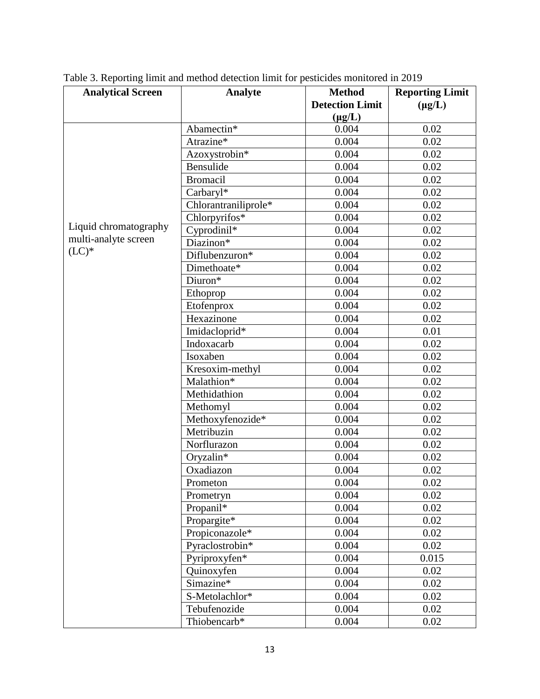| <b>Analytical Screen</b> | <b>Analyte</b>       | <b>Method</b>          | <b>Reporting Limit</b> |
|--------------------------|----------------------|------------------------|------------------------|
|                          |                      | <b>Detection Limit</b> | $(\mu g/L)$            |
|                          |                      | $(\mu g/L)$            |                        |
|                          | Abamectin*           | 0.004                  | 0.02                   |
|                          | Atrazine*            | 0.004                  | 0.02                   |
|                          | Azoxystrobin*        | 0.004                  | 0.02                   |
|                          | Bensulide            | 0.004                  | 0.02                   |
|                          | <b>Bromacil</b>      | 0.004                  | 0.02                   |
|                          | Carbaryl*            | 0.004                  | 0.02                   |
|                          | Chlorantraniliprole* | 0.004                  | 0.02                   |
|                          | Chlorpyrifos*        | 0.004                  | 0.02                   |
| Liquid chromatography    | Cyprodinil*          | 0.004                  | 0.02                   |
| multi-analyte screen     | Diazinon*            | 0.004                  | 0.02                   |
| $(LC)*$                  | Diflubenzuron*       | 0.004                  | 0.02                   |
|                          | Dimethoate*          | 0.004                  | 0.02                   |
|                          | Diuron*              | 0.004                  | 0.02                   |
|                          | Ethoprop             | 0.004                  | 0.02                   |
|                          | Etofenprox           | 0.004                  | 0.02                   |
|                          | Hexazinone           | 0.004                  | 0.02                   |
|                          | Imidacloprid*        | 0.004                  | 0.01                   |
|                          | Indoxacarb           | 0.004                  | 0.02                   |
|                          | Isoxaben             | 0.004                  | 0.02                   |
|                          | Kresoxim-methyl      | 0.004                  | 0.02                   |
|                          | Malathion*           | 0.004                  | 0.02                   |
|                          | Methidathion         | 0.004                  | 0.02                   |
|                          | Methomyl             | 0.004                  | 0.02                   |
|                          | Methoxyfenozide*     | 0.004                  | 0.02                   |
|                          | Metribuzin           | 0.004                  | 0.02                   |
|                          | Norflurazon          | 0.004                  | 0.02                   |
|                          | Oryzalin*            | 0.004                  | 0.02                   |
|                          | Oxadiazon            | 0.004                  | 0.02                   |
|                          | Prometon             | 0.004                  | $0.02\,$               |
|                          | Prometryn            | 0.004                  | 0.02                   |
|                          | Propanil*            | 0.004                  | 0.02                   |
|                          | Propargite*          | 0.004                  | 0.02                   |
|                          | Propiconazole*       | 0.004                  | 0.02                   |
|                          | Pyraclostrobin*      | 0.004                  | 0.02                   |
|                          | Pyriproxyfen*        | 0.004                  | 0.015                  |
|                          | Quinoxyfen           | 0.004                  | 0.02                   |
|                          | Simazine*            | 0.004                  | 0.02                   |
|                          | S-Metolachlor*       | 0.004                  | 0.02                   |
|                          | Tebufenozide         | 0.004                  | 0.02                   |
|                          | Thiobencarb*         | 0.004                  | 0.02                   |

Table 3. Reporting limit and method detection limit for pesticides monitored in 2019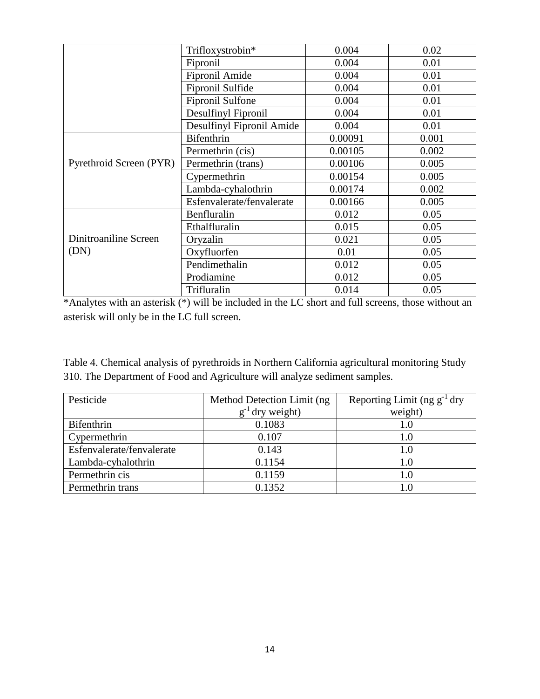|                         | Trifloxystrobin*          | 0.004   | 0.02  |
|-------------------------|---------------------------|---------|-------|
|                         | Fipronil                  | 0.004   | 0.01  |
|                         | Fipronil Amide            | 0.004   | 0.01  |
|                         | Fipronil Sulfide          | 0.004   | 0.01  |
|                         | Fipronil Sulfone          | 0.004   | 0.01  |
|                         | Desulfinyl Fipronil       | 0.004   | 0.01  |
|                         | Desulfinyl Fipronil Amide | 0.004   | 0.01  |
|                         | <b>Bifenthrin</b>         | 0.00091 | 0.001 |
|                         | Permethrin (cis)          | 0.00105 | 0.002 |
| Pyrethroid Screen (PYR) | Permethrin (trans)        | 0.00106 | 0.005 |
|                         | Cypermethrin              | 0.00154 | 0.005 |
|                         | Lambda-cyhalothrin        | 0.00174 | 0.002 |
|                         | Esfenvalerate/fenvalerate | 0.00166 | 0.005 |
|                         | Benfluralin               | 0.012   | 0.05  |
|                         | Ethalfluralin             | 0.015   | 0.05  |
| Dinitroaniline Screen   | Oryzalin                  | 0.021   | 0.05  |
| (DN)                    | Oxyfluorfen               | 0.01    | 0.05  |
|                         | Pendimethalin             | 0.012   | 0.05  |
|                         | Prodiamine                | 0.012   | 0.05  |
|                         | Trifluralin               | 0.014   | 0.05  |

\*Analytes with an asterisk (\*) will be included in the LC short and full screens, those without an asterisk will only be in the LC full screen.

Table 4. Chemical analysis of pyrethroids in Northern California agricultural monitoring Study 310. The Department of Food and Agriculture will analyze sediment samples.

| Pesticide                 | Method Detection Limit (ng)      | Reporting Limit (ng $g^{-1}$ dry |
|---------------------------|----------------------------------|----------------------------------|
|                           | dry weight)<br>$\mathbf{g}^{-1}$ | weight)                          |
| Bifenthrin                | 0.1083                           | 1.0                              |
| Cypermethrin              | 0.107                            | 1.0                              |
| Esfenvalerate/fenvalerate | 0.143                            | 1.0                              |
| Lambda-cyhalothrin        | 0.1154                           | 1.0                              |
| Permethrin cis            | 0.1159                           | 1.0                              |
| Permethrin trans          | 0.1352                           |                                  |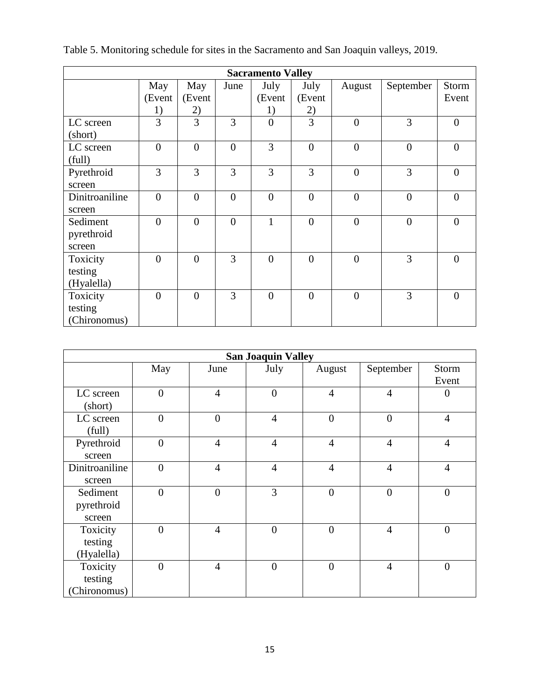| <b>Sacramento Valley</b> |                |                |                |                |                |                |                |                |
|--------------------------|----------------|----------------|----------------|----------------|----------------|----------------|----------------|----------------|
|                          | May            | May            | June           | July           | July           | August         | September      | Storm          |
|                          | (Event         | (Event         |                | (Event         | (Event         |                |                | Event          |
|                          | 1)             | <u>2)</u>      |                | 1)             | 2)             |                |                |                |
| LC screen                | 3              | 3              | 3              | $\overline{0}$ | 3              | $\overline{0}$ | 3              | $\overline{0}$ |
| (short)                  |                |                |                |                |                |                |                |                |
| LC screen                | $\overline{0}$ | $\overline{0}$ | $\overline{0}$ | 3              | $\overline{0}$ | $\overline{0}$ | $\overline{0}$ | $\overline{0}$ |
| (full)                   |                |                |                |                |                |                |                |                |
| Pyrethroid               | 3              | 3              | 3              | 3              | 3              | $\theta$       | 3              | $\overline{0}$ |
| screen                   |                |                |                |                |                |                |                |                |
| Dinitroaniline           | $\overline{0}$ | $\overline{0}$ | $\overline{0}$ | $\overline{0}$ | $\overline{0}$ | $\overline{0}$ | $\overline{0}$ | $\overline{0}$ |
| screen                   |                |                |                |                |                |                |                |                |
| Sediment                 | $\theta$       | $\overline{0}$ | $\overline{0}$ | 1              | $\theta$       | $\theta$       | $\overline{0}$ | $\theta$       |
| pyrethroid               |                |                |                |                |                |                |                |                |
| screen                   |                |                |                |                |                |                |                |                |
| Toxicity                 | $\overline{0}$ | $\overline{0}$ | 3              | $\overline{0}$ | $\overline{0}$ | $\overline{0}$ | 3              | $\overline{0}$ |
| testing                  |                |                |                |                |                |                |                |                |
| (Hyalella)               |                |                |                |                |                |                |                |                |
| Toxicity                 | $\overline{0}$ | $\overline{0}$ | 3              | $\overline{0}$ | $\theta$       | $\theta$       | 3              | $\theta$       |
| testing                  |                |                |                |                |                |                |                |                |
| (Chironomus)             |                |                |                |                |                |                |                |                |

|  |  |  |  | Table 5. Monitoring schedule for sites in the Sacramento and San Joaquin valleys, 2019. |  |  |  |
|--|--|--|--|-----------------------------------------------------------------------------------------|--|--|--|
|  |  |  |  |                                                                                         |  |  |  |

| <b>San Joaquin Valley</b>           |                |                |                |                |                |                  |
|-------------------------------------|----------------|----------------|----------------|----------------|----------------|------------------|
|                                     | May            | June           | July           | August         | September      | Storm<br>Event   |
| LC screen<br>(short)                | $\overline{0}$ | $\overline{4}$ | $\overline{0}$ | $\overline{4}$ | $\overline{4}$ | $\theta$         |
| LC screen<br>(full)                 | $\theta$       | $\overline{0}$ | $\overline{4}$ | $\overline{0}$ | $\overline{0}$ | $\overline{4}$   |
| Pyrethroid<br>screen                | $\theta$       | $\overline{4}$ | $\overline{4}$ | $\overline{4}$ | $\overline{4}$ | $\overline{4}$   |
| Dinitroaniline<br>screen            | $\overline{0}$ | $\overline{4}$ | $\overline{4}$ | $\overline{4}$ | $\overline{4}$ | $\overline{4}$   |
| Sediment<br>pyrethroid<br>screen    | $\overline{0}$ | $\overline{0}$ | 3              | $\overline{0}$ | $\overline{0}$ | $\boldsymbol{0}$ |
| Toxicity<br>testing<br>(Hyalella)   | $\theta$       | $\overline{4}$ | $\overline{0}$ | $\overline{0}$ | $\overline{4}$ | $\overline{0}$   |
| Toxicity<br>testing<br>(Chironomus) | $\theta$       | $\overline{4}$ | $\overline{0}$ | $\overline{0}$ | $\overline{4}$ | $\mathbf{0}$     |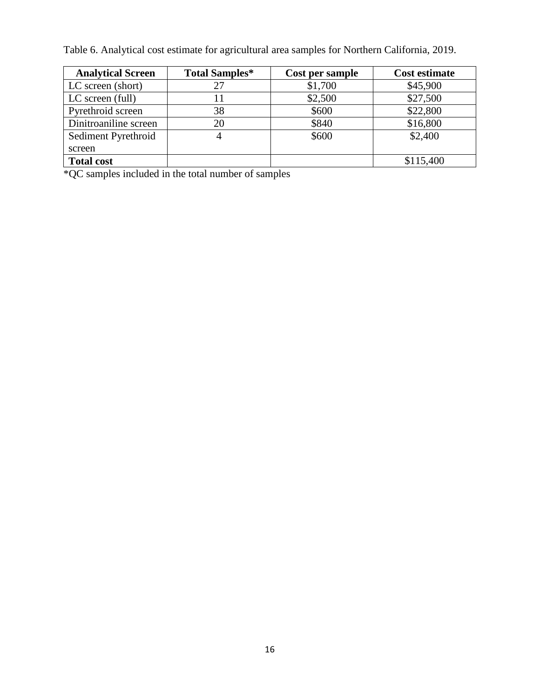Table 6. Analytical cost estimate for agricultural area samples for Northern California, 2019.

| <b>Analytical Screen</b> | <b>Total Samples*</b> | Cost per sample | <b>Cost estimate</b> |
|--------------------------|-----------------------|-----------------|----------------------|
| LC screen (short)        | 27                    | \$1,700         | \$45,900             |
| LC screen (full)         | 11                    | \$2,500         | \$27,500             |
| Pyrethroid screen        | 38                    | \$600           | \$22,800             |
| Dinitroaniline screen    | 20                    | \$840           | \$16,800             |
| Sediment Pyrethroid      | 4                     | \$600           | \$2,400              |
| screen                   |                       |                 |                      |
| <b>Total cost</b>        |                       |                 | \$115,400            |

\*QC samples included in the total number of samples